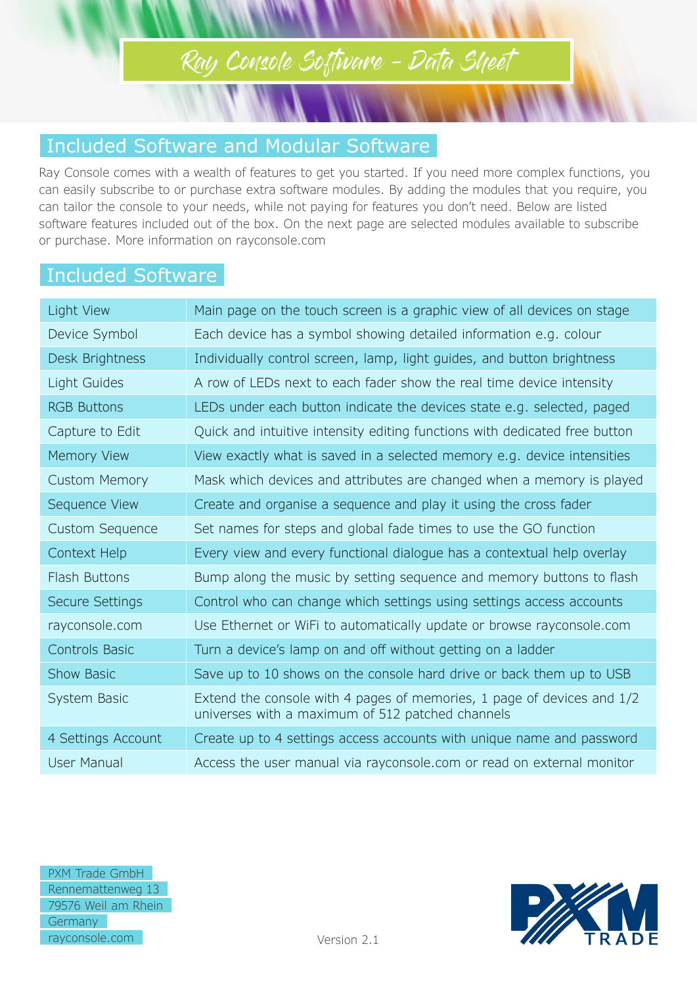## Ray Console Software – Data Sheet

#### Included Software and Modular Software

Ray Console comes with a wealth of features to get you started. If you need more complex functions, you can easily subscribe to or purchase extra software modules. By adding the modules that you require, you can tailor the console to your needs, while not paying for features you don't need. Below are listed software features included out of the box. On the next page are selected modules available to subscribe or purchase. More information on rayconsole.com

#### Included Software

| Light View             | Main page on the touch screen is a graphic view of all devices on stage                                                    |
|------------------------|----------------------------------------------------------------------------------------------------------------------------|
| Device Symbol          | Each device has a symbol showing detailed information e.g. colour                                                          |
| Desk Brightness        | Individually control screen, lamp, light guides, and button brightness                                                     |
| Light Guides           | A row of LEDs next to each fader show the real time device intensity                                                       |
| <b>RGB Buttons</b>     | LEDs under each button indicate the devices state e.g. selected, paged                                                     |
| Capture to Edit        | Quick and intuitive intensity editing functions with dedicated free button                                                 |
| Memory View            | View exactly what is saved in a selected memory e.g. device intensities                                                    |
| <b>Custom Memory</b>   | Mask which devices and attributes are changed when a memory is played                                                      |
| Sequence View          | Create and organise a sequence and play it using the cross fader                                                           |
| <b>Custom Sequence</b> | Set names for steps and global fade times to use the GO function                                                           |
| Context Help           | Every view and every functional dialogue has a contextual help overlay                                                     |
| Flash Buttons          | Bump along the music by setting sequence and memory buttons to flash                                                       |
| <b>Secure Settings</b> | Control who can change which settings using settings access accounts                                                       |
| rayconsole.com         | Use Ethernet or WiFi to automatically update or browse rayconsole.com                                                      |
| <b>Controls Basic</b>  | Turn a device's lamp on and off without getting on a ladder                                                                |
| <b>Show Basic</b>      | Save up to 10 shows on the console hard drive or back them up to USB                                                       |
| System Basic           | Extend the console with 4 pages of memories, 1 page of devices and 1/2<br>universes with a maximum of 512 patched channels |
| 4 Settings Account     | Create up to 4 settings access accounts with unique name and password                                                      |
| User Manual            | Access the user manual via rayconsole.com or read on external monitor                                                      |